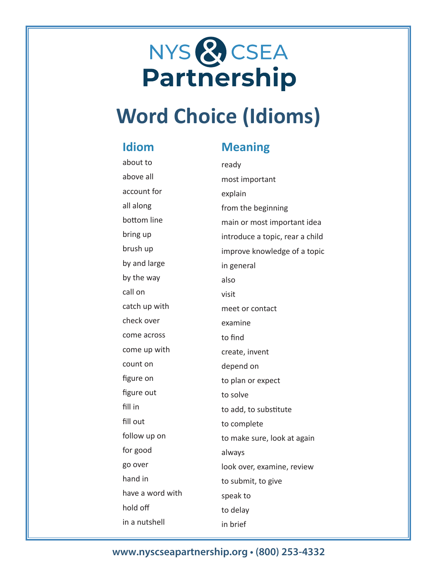# NYS & CSEA<br>Partnership

## **Word Choice (Idioms)**

#### **Idiom**

### **Meaning**

| about to         | ready                           |
|------------------|---------------------------------|
| above all        | most important                  |
| account for      | explain                         |
| all along        | from the beginning              |
| bottom line      | main or most important idea     |
| bring up         | introduce a topic, rear a child |
| brush up         | improve knowledge of a topic    |
| by and large     | in general                      |
| by the way       | also                            |
| call on          | visit                           |
| catch up with    | meet or contact                 |
| check over       | examine                         |
| come across      | to find                         |
| come up with     | create, invent                  |
| count on         | depend on                       |
| figure on        | to plan or expect               |
| figure out       | to solve                        |
| fill in          | to add, to substitute           |
| fill out         | to complete                     |
| follow up on     | to make sure, look at again     |
| for good         | always                          |
| go over          | look over, examine, review      |
| hand in          | to submit, to give              |
| have a word with | speak to                        |
| hold off         | to delay                        |
| in a nutshell    | in brief                        |

### **www.nyscseapartnership.org • (800) 253-4332**